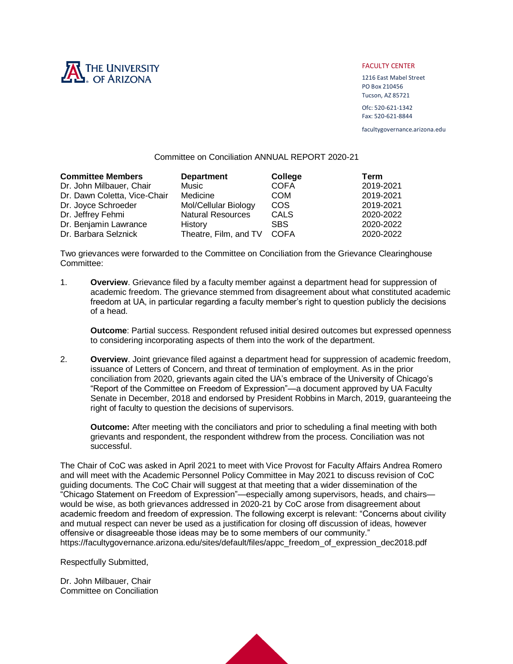

## FACULTY CENTER

1216 East Mabel Street PO Box 210456 Tucson, AZ 85721

Ofc: 520-621-1342 Fax: 520-621-8844

facultygovernance.arizona.edu

## Committee on Conciliation ANNUAL REPORT 2020-21

| <b>Committee Members</b>     | <b>Department</b>        | College     | Term      |
|------------------------------|--------------------------|-------------|-----------|
| Dr. John Milbauer, Chair     | Music                    | <b>COFA</b> | 2019-2021 |
| Dr. Dawn Coletta, Vice-Chair | Medicine                 | <b>COM</b>  | 2019-2021 |
| Dr. Joyce Schroeder          | Mol/Cellular Biology     | COS         | 2019-2021 |
| Dr. Jeffrey Fehmi            | <b>Natural Resources</b> | CALS        | 2020-2022 |
| Dr. Benjamin Lawrance        | History                  | <b>SBS</b>  | 2020-2022 |
| Dr. Barbara Selznick         | Theatre, Film, and TV    | <b>COFA</b> | 2020-2022 |

Two grievances were forwarded to the Committee on Conciliation from the Grievance Clearinghouse Committee:

1. **Overview**. Grievance filed by a faculty member against a department head for suppression of academic freedom. The grievance stemmed from disagreement about what constituted academic freedom at UA, in particular regarding a faculty member's right to question publicly the decisions of a head.

**Outcome**: Partial success. Respondent refused initial desired outcomes but expressed openness to considering incorporating aspects of them into the work of the department.

2. **Overview**. Joint grievance filed against a department head for suppression of academic freedom, issuance of Letters of Concern, and threat of termination of employment. As in the prior conciliation from 2020, grievants again cited the UA's embrace of the University of Chicago's "Report of the Committee on Freedom of Expression"—a document approved by UA Faculty Senate in December, 2018 and endorsed by President Robbins in March, 2019, guaranteeing the right of faculty to question the decisions of supervisors.

**Outcome:** After meeting with the conciliators and prior to scheduling a final meeting with both grievants and respondent, the respondent withdrew from the process. Conciliation was not successful.

The Chair of CoC was asked in April 2021 to meet with Vice Provost for Faculty Affairs Andrea Romero and will meet with the Academic Personnel Policy Committee in May 2021 to discuss revision of CoC guiding documents. The CoC Chair will suggest at that meeting that a wider dissemination of the "Chicago Statement on Freedom of Expression"—especially among supervisors, heads, and chairs would be wise, as both grievances addressed in 2020-21 by CoC arose from disagreement about academic freedom and freedom of expression. The following excerpt is relevant: "Concerns about civility and mutual respect can never be used as a justification for closing off discussion of ideas, however offensive or disagreeable those ideas may be to some members of our community." https://facultygovernance.arizona.edu/sites/default/files/appc\_freedom\_of\_expression\_dec2018.pdf

Respectfully Submitted,

Dr. John Milbauer, Chair Committee on Conciliation